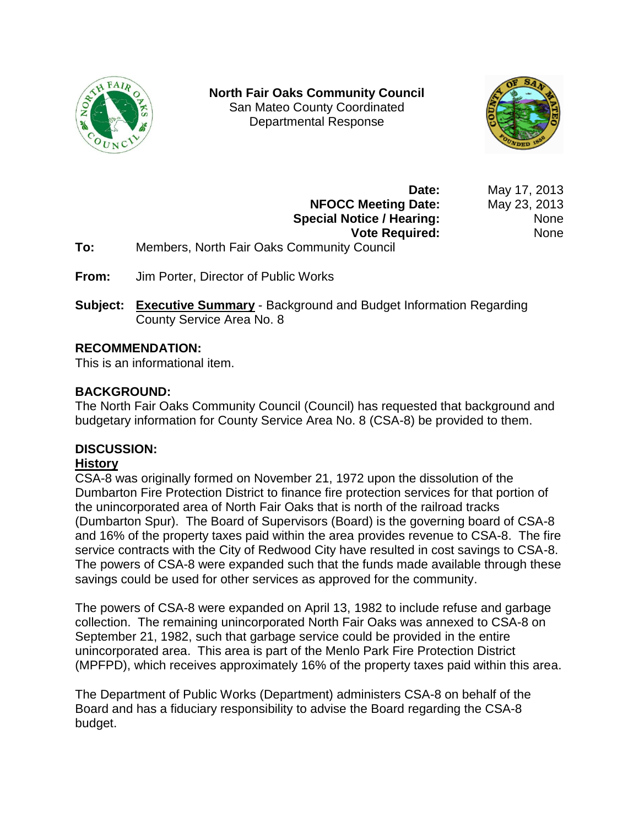

**North Fair Oaks Community Council** San Mateo County Coordinated Departmental Response



**Date:** May 17, 2013 **NFOCC Meeting Date:** May 23, 2013 **Special Notice / Hearing:** None **Vote Required:** None

- **To:** Members, North Fair Oaks Community Council
- **From:** Jim Porter, Director of Public Works
- **Subject: Executive Summary** Background and Budget Information Regarding County Service Area No. 8

### **RECOMMENDATION:**

This is an informational item.

# **BACKGROUND:**

The North Fair Oaks Community Council (Council) has requested that background and budgetary information for County Service Area No. 8 (CSA-8) be provided to them.

### **DISCUSSION:**

### **History**

CSA-8 was originally formed on November 21, 1972 upon the dissolution of the Dumbarton Fire Protection District to finance fire protection services for that portion of the unincorporated area of North Fair Oaks that is north of the railroad tracks (Dumbarton Spur). The Board of Supervisors (Board) is the governing board of CSA-8 and 16% of the property taxes paid within the area provides revenue to CSA-8. The fire service contracts with the City of Redwood City have resulted in cost savings to CSA-8. The powers of CSA-8 were expanded such that the funds made available through these savings could be used for other services as approved for the community.

The powers of CSA-8 were expanded on April 13, 1982 to include refuse and garbage collection. The remaining unincorporated North Fair Oaks was annexed to CSA-8 on September 21, 1982, such that garbage service could be provided in the entire unincorporated area. This area is part of the Menlo Park Fire Protection District (MPFPD), which receives approximately 16% of the property taxes paid within this area.

The Department of Public Works (Department) administers CSA-8 on behalf of the Board and has a fiduciary responsibility to advise the Board regarding the CSA-8 budget.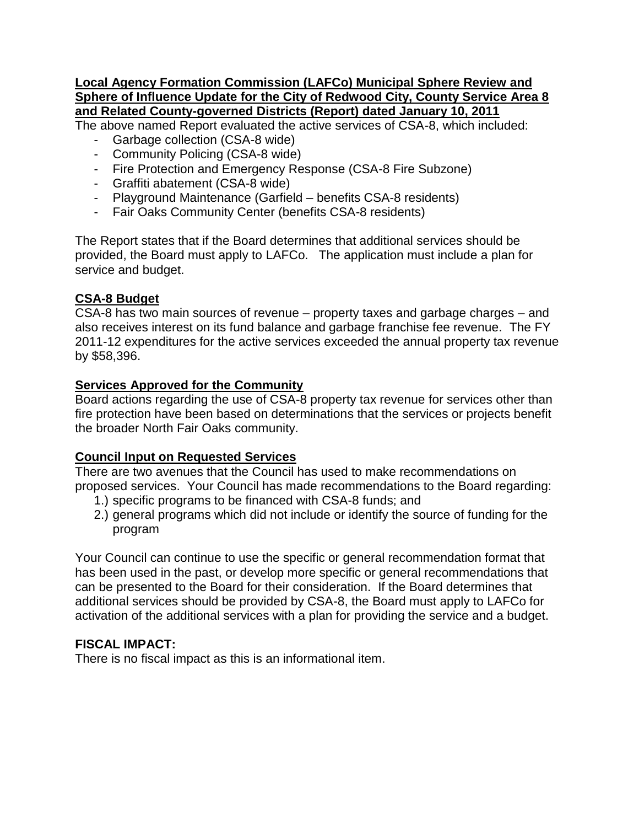#### **Local Agency Formation Commission (LAFCo) Municipal Sphere Review and Sphere of Influence Update for the City of Redwood City, County Service Area 8 and Related County-governed Districts (Report) dated January 10, 2011**

The above named Report evaluated the active services of CSA-8, which included:

- Garbage collection (CSA-8 wide)
- Community Policing (CSA-8 wide)
- Fire Protection and Emergency Response (CSA-8 Fire Subzone)
- Graffiti abatement (CSA-8 wide)
- Playground Maintenance (Garfield benefits CSA-8 residents)
- Fair Oaks Community Center (benefits CSA-8 residents)

The Report states that if the Board determines that additional services should be provided, the Board must apply to LAFCo. The application must include a plan for service and budget.

### **CSA-8 Budget**

CSA-8 has two main sources of revenue – property taxes and garbage charges – and also receives interest on its fund balance and garbage franchise fee revenue. The FY 2011-12 expenditures for the active services exceeded the annual property tax revenue by \$58,396.

# **Services Approved for the Community**

Board actions regarding the use of CSA-8 property tax revenue for services other than fire protection have been based on determinations that the services or projects benefit the broader North Fair Oaks community.

# **Council Input on Requested Services**

There are two avenues that the Council has used to make recommendations on proposed services. Your Council has made recommendations to the Board regarding:

- 1.) specific programs to be financed with CSA-8 funds; and
- 2.) general programs which did not include or identify the source of funding for the program

Your Council can continue to use the specific or general recommendation format that has been used in the past, or develop more specific or general recommendations that can be presented to the Board for their consideration. If the Board determines that additional services should be provided by CSA-8, the Board must apply to LAFCo for activation of the additional services with a plan for providing the service and a budget.

# **FISCAL IMPACT:**

There is no fiscal impact as this is an informational item.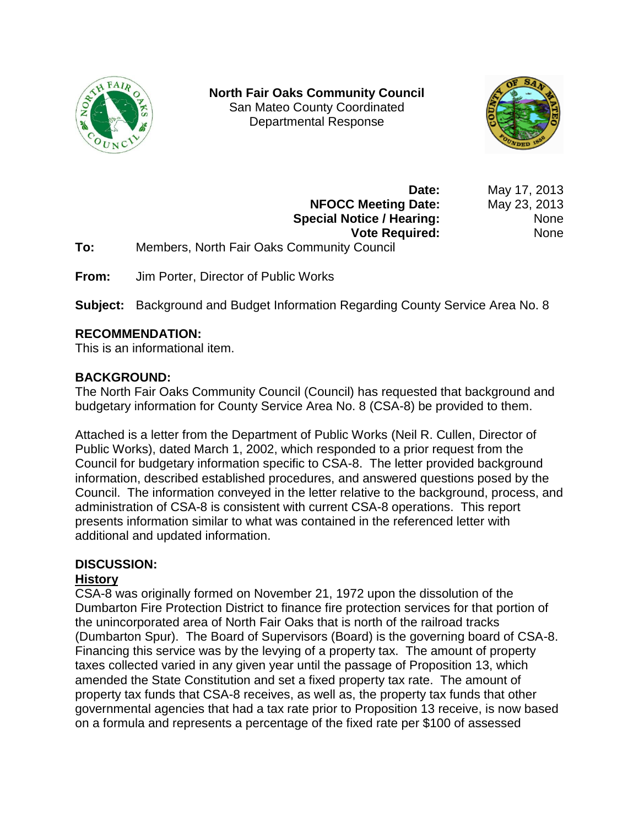

**North Fair Oaks Community Council** San Mateo County Coordinated Departmental Response



**Date:** May 17, 2013 **NFOCC Meeting Date:** May 23, 2013 **Special Notice / Hearing:** None **Vote Required:** None

- **To:** Members, North Fair Oaks Community Council
- **From:** Jim Porter, Director of Public Works

**Subject:** Background and Budget Information Regarding County Service Area No. 8

# **RECOMMENDATION:**

This is an informational item.

# **BACKGROUND:**

The North Fair Oaks Community Council (Council) has requested that background and budgetary information for County Service Area No. 8 (CSA-8) be provided to them.

Attached is a letter from the Department of Public Works (Neil R. Cullen, Director of Public Works), dated March 1, 2002, which responded to a prior request from the Council for budgetary information specific to CSA-8. The letter provided background information, described established procedures, and answered questions posed by the Council. The information conveyed in the letter relative to the background, process, and administration of CSA-8 is consistent with current CSA-8 operations. This report presents information similar to what was contained in the referenced letter with additional and updated information.

# **DISCUSSION:**

# **History**

CSA-8 was originally formed on November 21, 1972 upon the dissolution of the Dumbarton Fire Protection District to finance fire protection services for that portion of the unincorporated area of North Fair Oaks that is north of the railroad tracks (Dumbarton Spur). The Board of Supervisors (Board) is the governing board of CSA-8. Financing this service was by the levying of a property tax. The amount of property taxes collected varied in any given year until the passage of Proposition 13, which amended the State Constitution and set a fixed property tax rate. The amount of property tax funds that CSA-8 receives, as well as, the property tax funds that other governmental agencies that had a tax rate prior to Proposition 13 receive, is now based on a formula and represents a percentage of the fixed rate per \$100 of assessed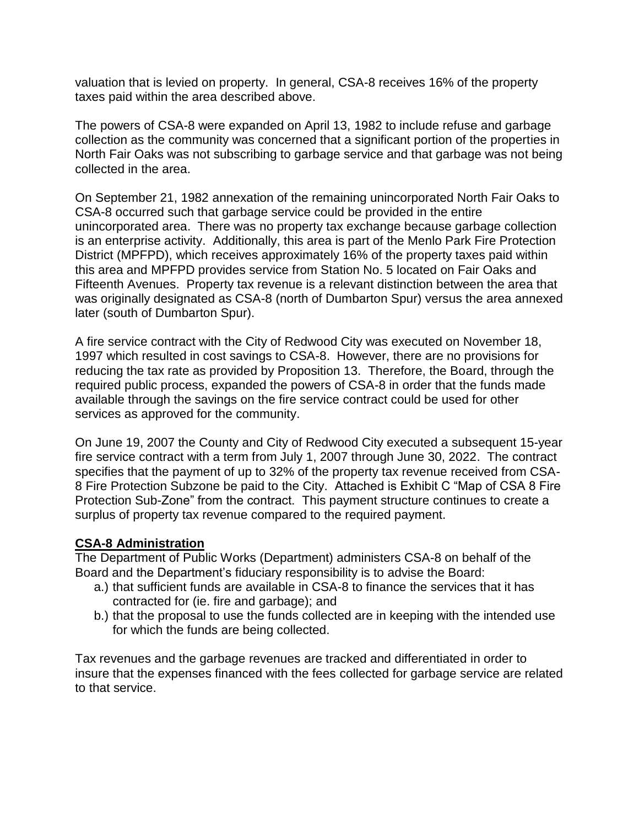valuation that is levied on property. In general, CSA-8 receives 16% of the property taxes paid within the area described above.

The powers of CSA-8 were expanded on April 13, 1982 to include refuse and garbage collection as the community was concerned that a significant portion of the properties in North Fair Oaks was not subscribing to garbage service and that garbage was not being collected in the area.

On September 21, 1982 annexation of the remaining unincorporated North Fair Oaks to CSA-8 occurred such that garbage service could be provided in the entire unincorporated area. There was no property tax exchange because garbage collection is an enterprise activity. Additionally, this area is part of the Menlo Park Fire Protection District (MPFPD), which receives approximately 16% of the property taxes paid within this area and MPFPD provides service from Station No. 5 located on Fair Oaks and Fifteenth Avenues. Property tax revenue is a relevant distinction between the area that was originally designated as CSA-8 (north of Dumbarton Spur) versus the area annexed later (south of Dumbarton Spur).

A fire service contract with the City of Redwood City was executed on November 18, 1997 which resulted in cost savings to CSA-8. However, there are no provisions for reducing the tax rate as provided by Proposition 13. Therefore, the Board, through the required public process, expanded the powers of CSA-8 in order that the funds made available through the savings on the fire service contract could be used for other services as approved for the community.

On June 19, 2007 the County and City of Redwood City executed a subsequent 15-year fire service contract with a term from July 1, 2007 through June 30, 2022. The contract specifies that the payment of up to 32% of the property tax revenue received from CSA-8 Fire Protection Subzone be paid to the City. Attached is Exhibit C "Map of CSA 8 Fire Protection Sub-Zone" from the contract. This payment structure continues to create a surplus of property tax revenue compared to the required payment.

### **CSA-8 Administration**

The Department of Public Works (Department) administers CSA-8 on behalf of the Board and the Department's fiduciary responsibility is to advise the Board:

- a.) that sufficient funds are available in CSA-8 to finance the services that it has contracted for (ie. fire and garbage); and
- b.) that the proposal to use the funds collected are in keeping with the intended use for which the funds are being collected.

Tax revenues and the garbage revenues are tracked and differentiated in order to insure that the expenses financed with the fees collected for garbage service are related to that service.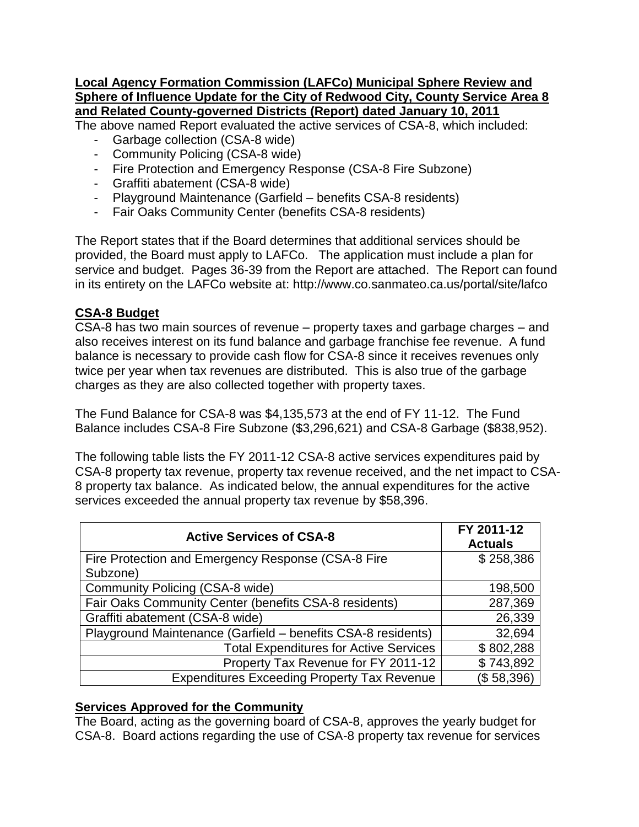#### **Local Agency Formation Commission (LAFCo) Municipal Sphere Review and Sphere of Influence Update for the City of Redwood City, County Service Area 8 and Related County-governed Districts (Report) dated January 10, 2011**

The above named Report evaluated the active services of CSA-8, which included:

- Garbage collection (CSA-8 wide)
- Community Policing (CSA-8 wide)
- Fire Protection and Emergency Response (CSA-8 Fire Subzone)
- Graffiti abatement (CSA-8 wide)
- Playground Maintenance (Garfield benefits CSA-8 residents)
- Fair Oaks Community Center (benefits CSA-8 residents)

The Report states that if the Board determines that additional services should be provided, the Board must apply to LAFCo. The application must include a plan for service and budget. Pages 36-39 from the Report are attached. The Report can found in its entirety on the LAFCo website at: http://www.co.sanmateo.ca.us/portal/site/lafco

# **CSA-8 Budget**

CSA-8 has two main sources of revenue – property taxes and garbage charges – and also receives interest on its fund balance and garbage franchise fee revenue. A fund balance is necessary to provide cash flow for CSA-8 since it receives revenues only twice per year when tax revenues are distributed. This is also true of the garbage charges as they are also collected together with property taxes.

The Fund Balance for CSA-8 was \$4,135,573 at the end of FY 11-12. The Fund Balance includes CSA-8 Fire Subzone (\$3,296,621) and CSA-8 Garbage (\$838,952).

The following table lists the FY 2011-12 CSA-8 active services expenditures paid by CSA-8 property tax revenue, property tax revenue received, and the net impact to CSA-8 property tax balance. As indicated below, the annual expenditures for the active services exceeded the annual property tax revenue by \$58,396.

| <b>Active Services of CSA-8</b>                              | FY 2011-12<br><b>Actuals</b> |
|--------------------------------------------------------------|------------------------------|
| Fire Protection and Emergency Response (CSA-8 Fire           | \$258,386                    |
| Subzone)                                                     |                              |
| Community Policing (CSA-8 wide)                              | 198,500                      |
| Fair Oaks Community Center (benefits CSA-8 residents)        | 287,369                      |
| Graffiti abatement (CSA-8 wide)                              | 26,339                       |
| Playground Maintenance (Garfield - benefits CSA-8 residents) | 32,694                       |
| <b>Total Expenditures for Active Services</b>                | \$802,288                    |
| Property Tax Revenue for FY 2011-12                          | \$743,892                    |
| <b>Expenditures Exceeding Property Tax Revenue</b>           | (\$58,396)                   |

### **Services Approved for the Community**

The Board, acting as the governing board of CSA-8, approves the yearly budget for CSA-8. Board actions regarding the use of CSA-8 property tax revenue for services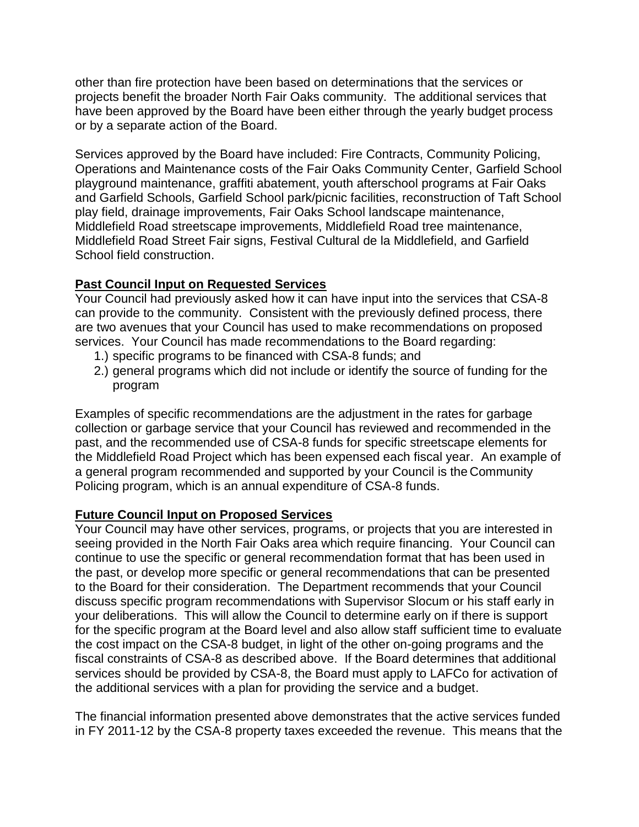other than fire protection have been based on determinations that the services or projects benefit the broader North Fair Oaks community. The additional services that have been approved by the Board have been either through the yearly budget process or by a separate action of the Board.

Services approved by the Board have included: Fire Contracts, Community Policing, Operations and Maintenance costs of the Fair Oaks Community Center, Garfield School playground maintenance, graffiti abatement, youth afterschool programs at Fair Oaks and Garfield Schools, Garfield School park/picnic facilities, reconstruction of Taft School play field, drainage improvements, Fair Oaks School landscape maintenance, Middlefield Road streetscape improvements, Middlefield Road tree maintenance, Middlefield Road Street Fair signs, Festival Cultural de la Middlefield, and Garfield School field construction.

# **Past Council Input on Requested Services**

Your Council had previously asked how it can have input into the services that CSA-8 can provide to the community. Consistent with the previously defined process, there are two avenues that your Council has used to make recommendations on proposed services. Your Council has made recommendations to the Board regarding:

- 1.) specific programs to be financed with CSA-8 funds; and
- 2.) general programs which did not include or identify the source of funding for the program

Examples of specific recommendations are the adjustment in the rates for garbage collection or garbage service that your Council has reviewed and recommended in the past, and the recommended use of CSA-8 funds for specific streetscape elements for the Middlefield Road Project which has been expensed each fiscal year. An example of a general program recommended and supported by your Council is the Community Policing program, which is an annual expenditure of CSA-8 funds.

### **Future Council Input on Proposed Services**

Your Council may have other services, programs, or projects that you are interested in seeing provided in the North Fair Oaks area which require financing. Your Council can continue to use the specific or general recommendation format that has been used in the past, or develop more specific or general recommendations that can be presented to the Board for their consideration. The Department recommends that your Council discuss specific program recommendations with Supervisor Slocum or his staff early in your deliberations. This will allow the Council to determine early on if there is support for the specific program at the Board level and also allow staff sufficient time to evaluate the cost impact on the CSA-8 budget, in light of the other on-going programs and the fiscal constraints of CSA-8 as described above. If the Board determines that additional services should be provided by CSA-8, the Board must apply to LAFCo for activation of the additional services with a plan for providing the service and a budget.

The financial information presented above demonstrates that the active services funded in FY 2011-12 by the CSA-8 property taxes exceeded the revenue. This means that the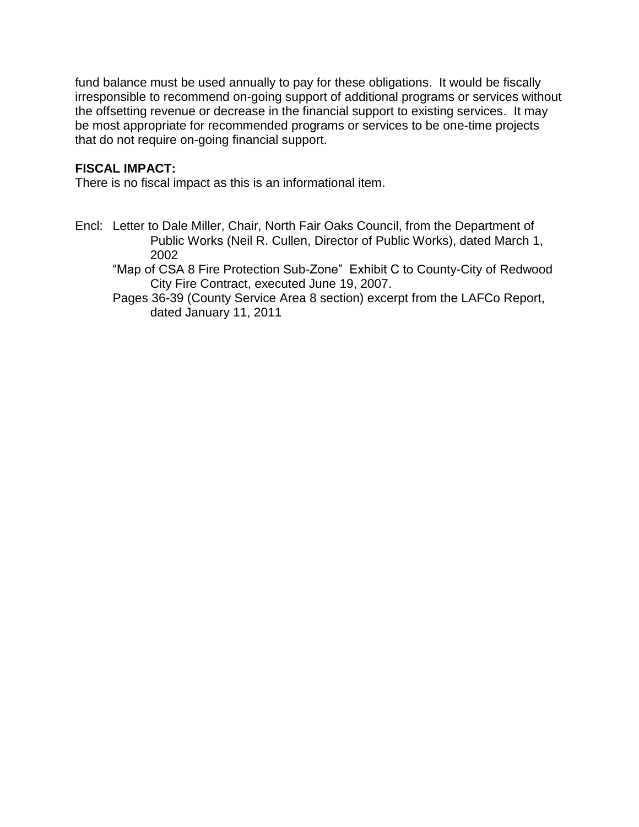fund balance must be used annually to pay for these obligations. It would be fiscally irresponsible to recommend on-going support of additional programs or services without the offsetting revenue or decrease in the financial support to existing services. It may be most appropriate for recommended programs or services to be one-time projects that do not require on-going financial support.

# **FISCAL IMPACT:**

There is no fiscal impact as this is an informational item.

Encl: Letter to Dale Miller, Chair, North Fair Oaks Council, from the Department of Public Works (Neil R. Cullen, Director of Public Works), dated March 1, 2002

"Map of CSA 8 Fire Protection Sub-Zone" Exhibit C to County-City of Redwood City Fire Contract, executed June 19, 2007.

Pages 36-39 (County Service Area 8 section) excerpt from the LAFCo Report, dated January 11, 2011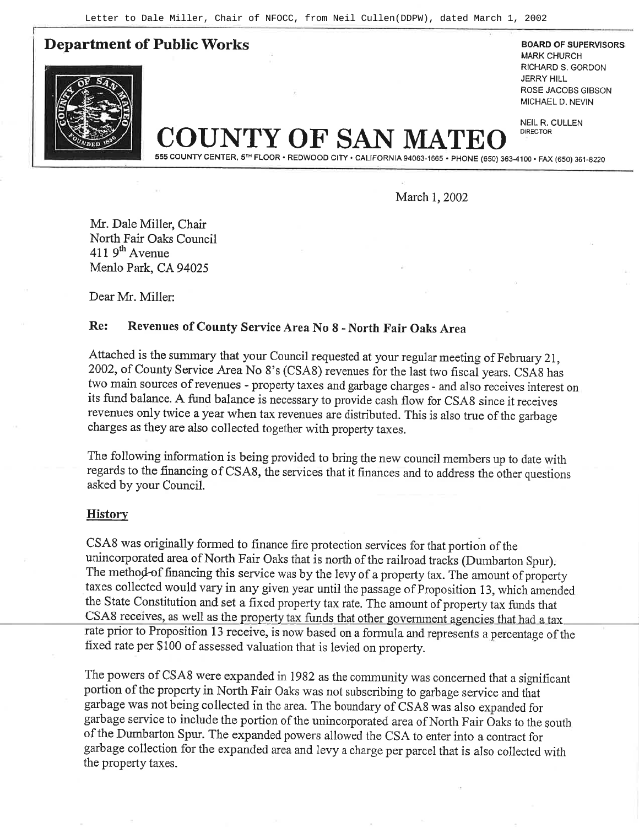**Department of Public Works** BOARD OF SUPERVISORS



MARK CHURCH RICHARD S. GORDON JERRY HILL ROSE JACOBS GIBSON MICHAEL D, NEVIN

NEIL R, CULLEN DIRECTOR

COUNTYOF SAN MATEO

555 COUNTY CENTER, 5™ FLOOR • REDWOOD CITY • CALIFORNIA 94063-1665 • PHONE (650) 363-4100 • FAX (650) 361-8220

March 1, 2002

Mr. Dale Miller, Chair North Fair Oaks Council  $411.9<sup>th</sup>$  Avenue Menlo Park, CA 94025

Dear Mr. Miller:

# Re: Revenues of County Service Area No 8 - North Fair Oaks Area

Attached is the summary that your Council requested at your regular meeting of February 2I, 2002, of County Service Area No 8's (CSA8) revenues for the last two fiscal years. CSA8 has two main sources of revenues - property taxes and garbage charges - and also receives interest on its fund balance. A fund balance is necessary to provide cash flow for CSAS since it receives revenues only twice a year when tax revenues are distributed. This is also true of the garbage charges as they are also collected together with property taxes.

The following information is being provided to bring the new council members up to date with regards to the financing of CSA8, the services that it finances and to address the other questions asked by your Council.

#### **History**

CSAS was originally formed to finance fire protection services for that portion of the unincorporated area of North Fair Oaks that is north of the railroad tracks (Dumbarton Spur). The method of financing this service was by the levy of a property tax. The amount of property taxes collected would vary in any given year until the passage of Proposition 13, which amended the State Constitution and set a fixed property tax rate. The amount of property tax funds that CSA8 receives, as well as the property tax funds that other government agencies that had a tax rate prior to Proposition 13 receive, is now based on a formula and represents a percentage of the fixed rate per \$100 of assessed valuation that is levied on property.

The powers of CSA8 were expanded in 1982 as the community was concerned that a significant portion of the property in North Fair Oaks was not subscribing to garbage service and that garbage was not being collected in the area. The boundary of CSA8 was also expanded for gatbage service to include the portion of the unincorporated area ofNorth Fair Oaks to the south of the Dumbarton Spur. The expanded powers allowed the CSA to enter into a contract for gatbage collection for the expanded area and levy a charge per parcel that is also collected with the property taxes.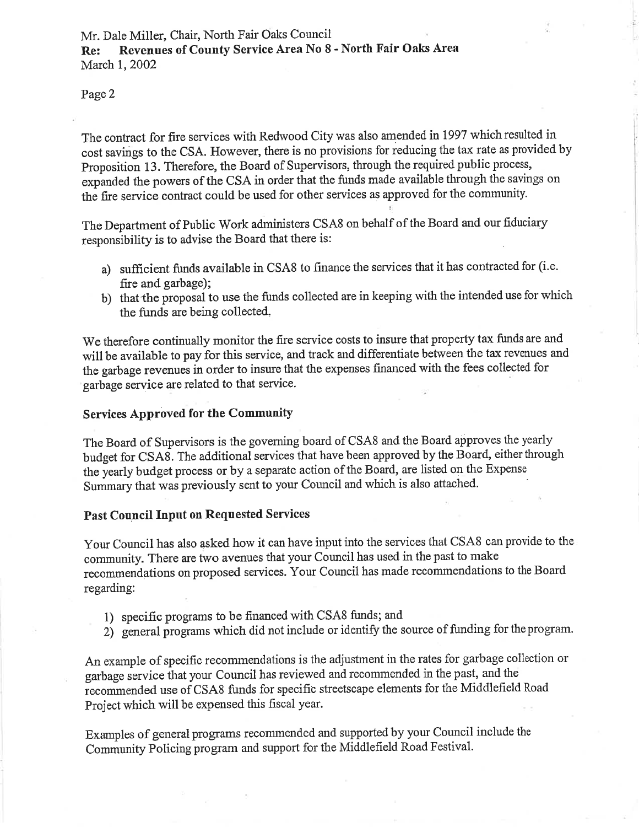Page2

The contract for fire services with Redwood City was also amended in 1997 which resulted in cost savings to the CSA. However, there is no provisions for reducing the tax rate as provided by Proposition 13 . Therefore, the Board of Supervisors, through the required public process, expanded the powers of the CSA in order that the funds made available through the savings on the fire service contract could be used for other services as approved for the community.

The Department of Public Work administers CSA8 on behalf of the Board and our fiduciary responsibilify is to advise the Board that there is:

- a) sufficient funds available in CSAS to finance the services that it has contracted for (i.e. fire and garbage);
- b) that the proposal to use the funds collected are in keeping with the intended use for which the funds are being collected.

We therefore continually monitor the fire service costs to insure that property tax funds are and will be available to pay for this service, and track and differentiate between the tax revenues and the garbage revenues in order to insure that the expenses financed with the fees collected for garbage service are related to that service.

#### Services Approved for the Community

The Board of Supervisors is the governing board of CSAB and the Board approves the yearly budget for CSA8. The additional services that have been approved by the Board, either through the yearly budget process or by a separate action of the Board, are listed on the Expense Summary that was previously sent to your Council and which is also attached.

#### Past Council Input on Requested Services

Your Council has also asked how it can have input into the services that CSA8 can provide to the community. There are two avenues that your Council has used in the past to make recommendations on proposed services. Your Council has made recommendations to the Board regarding:

- 1) specific programs to be financed with CSA8 funds; and
- 2) general programs which did not include or identify the source of funding for the program.

An example of specific recommendations is the adjustment in the rates for garbage collection or garbage service that your Council has reviewed and recommended in the past, and the recommended use of CSA8 funds for specific streetscape elements for the Middlefield Road Project which will be expensed this fiscal year.

Examples of general programs recommended and supported by your Council include the Community Policing program and support for the Middlefield Road Festival.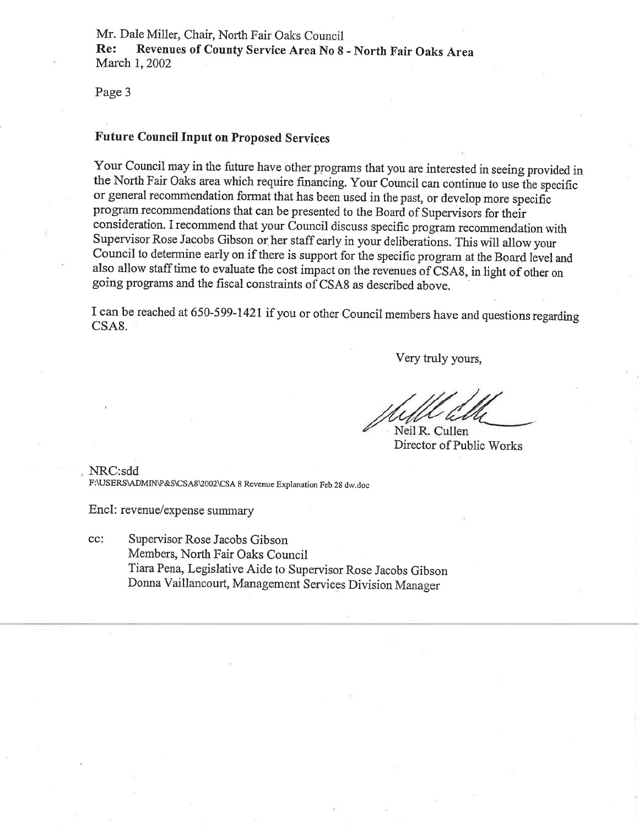Mr. Dale Miller, Chair, North Fair Oaks Council<br>Re: Revenues of County Service Area No 8 - North Fair Oaks Area March 1, 2002

Page 3

#### Future Council Input on Proposed Services

Your Council may in the future have other programs that you are interested in seeing provided in the North Fair Oaks area which require financing. Your Council can continue to use the specific or general recommendation format that has been used in the past, or develop more specific program recommendations that canbe presented to the Board of Supervisors for their consideration. I recommend that your Council discuss specific program recommendation with Supervisor Rose Jacobs Gibson or her staff early in your deliberations. This will allow your Council to determine early on if there is support for the specific program at the Board level and also allow staff time to evaluate the cost impact on the revenues of CSA8, in light of other on going programs and the fiscal constraints of CSA8 as described above.

I can be reached at 650-599-1421 if you or other Council members have and questions regarding CSA8.

Very truly yours,

Neil R. Cullen Director of Public Works

NRC:sdd F:\USERS\ADMIN\P&S\CSA8\2002\CSA 8 Revenue Explanation Feb 28 dw.doc

Encl: revenue/expense summary

cc: Supervisor Rose Jacobs Gibson Members, North Fair Oaks Council Tiara Pena, Legislative Aide to supervisor Rose Jacobs Gibson Donna Vaillancourt, Management Services Division Manager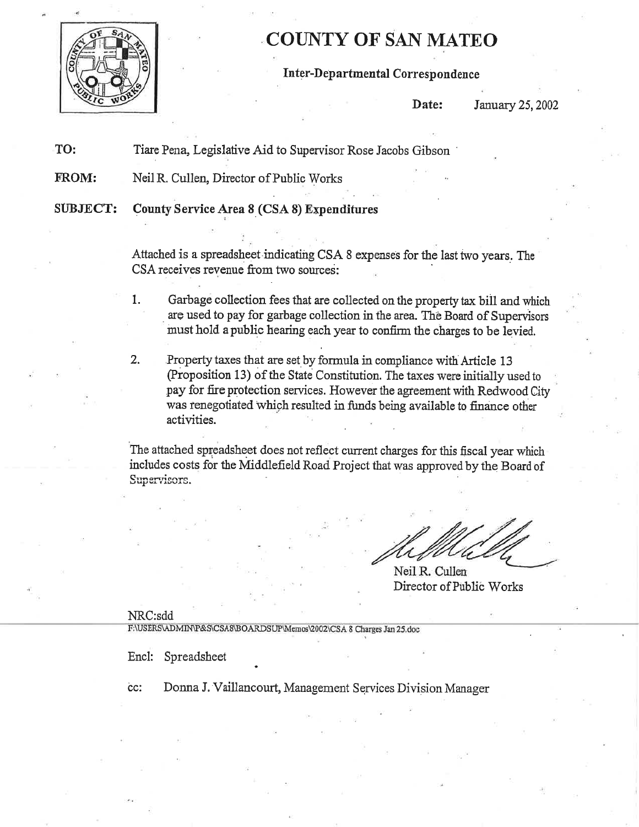

# COTINTY OF SAN MATEO

### Inter-Departmental Correspondence

Date: January 25, 2002

TO: Tiare Pena, Legislative Aid to Supervisor Rose Jacobs Gibson '

FROM: Neil R. Cullen, Director of Public Works

SIIBJECT: County Service Area S (CSA 8) Erpenditures

Attached is a spreadsheet indicating CSA 8 expenses for the last two years. The CSA receives revenue from two sources:

- 1. Garbage collection fees that are collected on the property tax bill and which are used to pay for garbage collection in the area. Thè Boæd of Supervisors must hold a public hearing each year to confinn the charges to be levied.
- 2. Property taxes that are set by formula in compliance with Article 13 (Proposition 13) of the State Constitution. The taxes were initially used to pay for fire protection services. However the agreement with Redwood City was renegotiated which resulted in funds being available to finance other activities.

The attached spreadsheet does not reflect current charges for this fiscal year which includes costs for the Middlefield Road Project that was approved by the Board of Supervisors.

Neil R. Cullen Director of Public Works

NRC:sdd<br>F:\USERS\ADMIN\P&S\CSA8\BOARDSUP\Memos\2002\CSA8ChargesJan25.doc

Encl: Spreadshee

cc: Donna J. Vaillancourt, Management Services Division Manager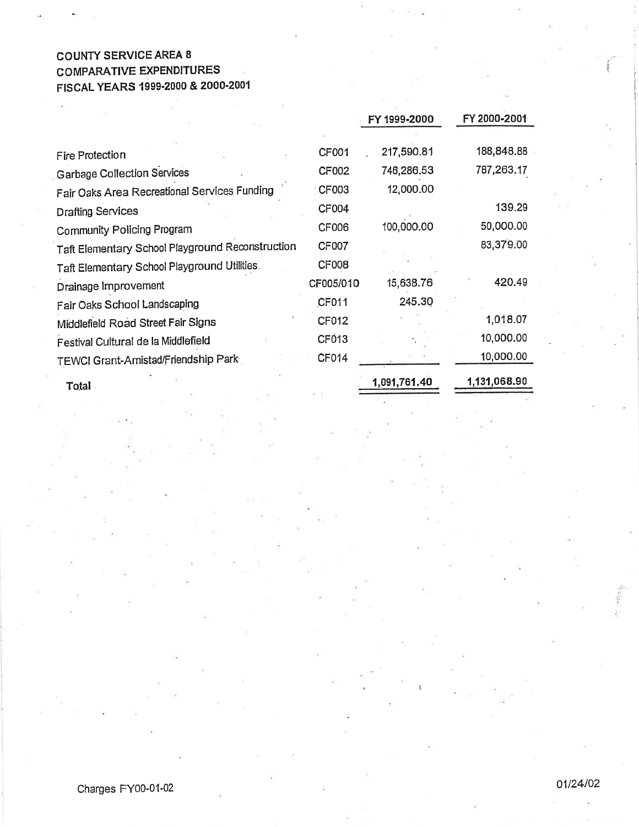#### GOUNTY SERVICE AREA 8 GOMPARATIVE EXPENDITURES ä. FlscAL YEARS 19s9-2000 & 2000'2001

|                                                  |              | FY 1999-2000 | FY 2000-2001 |
|--------------------------------------------------|--------------|--------------|--------------|
|                                                  |              |              |              |
| Fire Protection                                  | CF001        | 217,590.81   | 188,848.88   |
| <b>Garbage Collection Services</b>               | CF002        | 746,286.53   | 787,263.17   |
| Fair Oaks Area Recreational Services Funding     | CF003        | 12,000.00    |              |
| <b>Drafting Services</b>                         | <b>CF004</b> |              | 139.29       |
| Community Policing Program                       | CF006        | 100,000.00   | 50,000.00    |
| Taft Elementary School Playground Reconstruction | CF007        |              | 83,379.00    |
| Taft Elementary School Playground Utilities.     | <b>CF008</b> |              |              |
| Drainage Improvement                             | CF005/010    | 15,638.76    | 420.49       |
| Fair Oaks School Landscaping                     | CF011        | 245.30       |              |
| Middlefield Road Street Fair Signs               | CF012        |              | 1,018.07     |
| Festival Cultural de la Middlefield              | CF013        |              | 10,000.00    |
| TEWCI Grant-Amistad/Friendship Park              | CF014        |              | 10,000.00    |
| Total                                            |              | 1,091,761.40 | 1,131,068.90 |

'l

i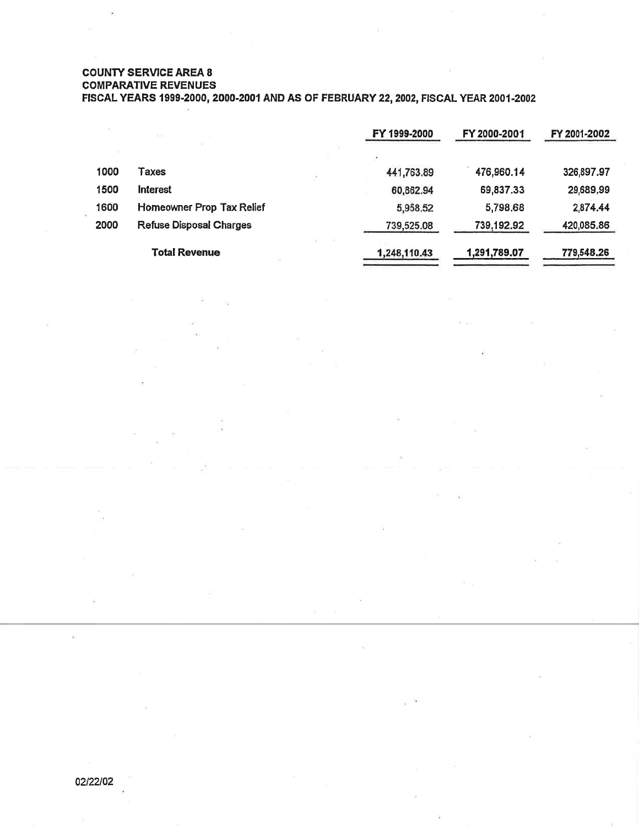#### COUNTY SERVICE AREA 8

GOMPARATIVE REVENUES

FISCAL YEARS 1999-2000, 2000-2001 AND AS OF FEBRUARY 22, 2002, FISCAL YEAR 2001-2002

|      | 1.14                           |   | FY 1999-2000 | FY 2000-2001 | FY 2001-2002 |
|------|--------------------------------|---|--------------|--------------|--------------|
|      |                                |   |              |              |              |
| 1000 | Taxes                          | a | 441,763.89   | 476,960.14   | 326,897.97   |
| 1500 | <b>Interest</b>                |   | 60,862.94    | 69,837.33    | 29,689,99    |
| 1600 | Homeowner Prop Tax Relief      |   | 5,958.52     | 5,798.68     | 2,874.44     |
| 2000 | <b>Refuse Disposal Charges</b> |   | 739,525.08   | 739,192.92   | 420,085.86   |
|      | <b>Total Revenue</b>           |   | 1,248,110.43 | 1,291,789.07 | 779,548.26   |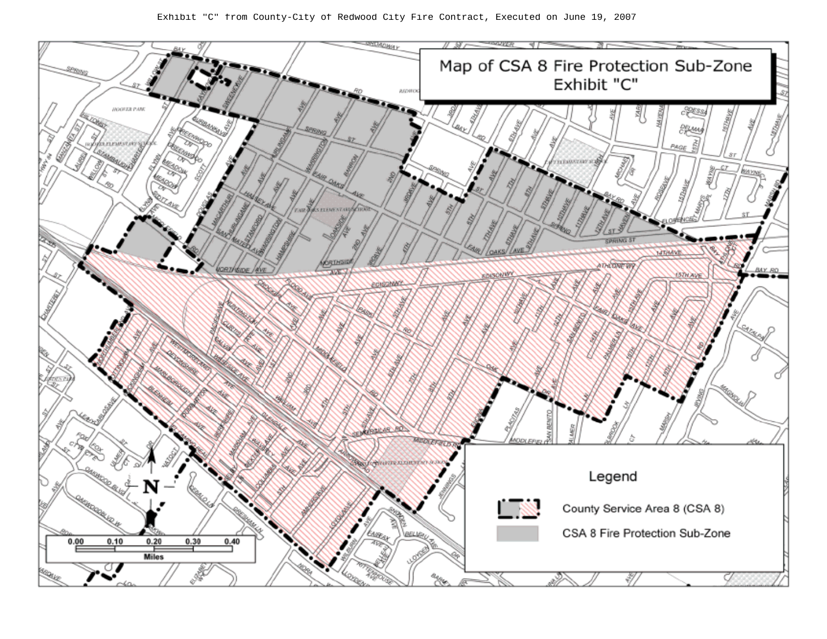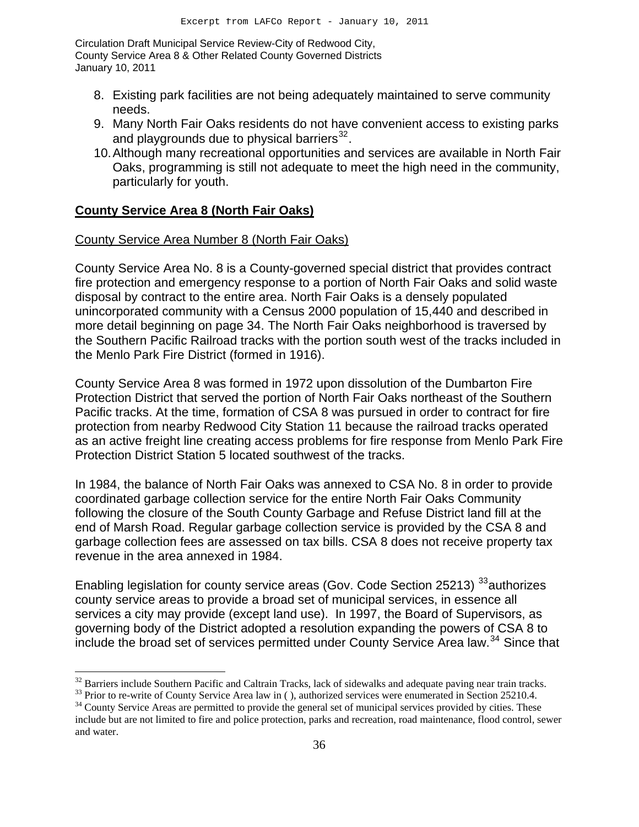- 8. Existing park facilities are not being adequately maintained to serve community needs.
- 9. Many North Fair Oaks residents do not have convenient access to existing parks and playgrounds due to physical barriers $32$ .
- 10. Although many recreational opportunities and services are available in North Fair Oaks, programming is still not adequate to meet the high need in the community, particularly for youth.

#### **County Service Area 8 (North Fair Oaks)**

 $\overline{a}$ 

#### County Service Area Number 8 (North Fair Oaks)

County Service Area No. 8 is a County-governed special district that provides contract fire protection and emergency response to a portion of North Fair Oaks and solid waste disposal by contract to the entire area. North Fair Oaks is a densely populated unincorporated community with a Census 2000 population of 15,440 and described in more detail beginning on page 34. The North Fair Oaks neighborhood is traversed by the Southern Pacific Railroad tracks with the portion south west of the tracks included in the Menlo Park Fire District (formed in 1916).

County Service Area 8 was formed in 1972 upon dissolution of the Dumbarton Fire Protection District that served the portion of North Fair Oaks northeast of the Southern Pacific tracks. At the time, formation of CSA 8 was pursued in order to contract for fire protection from nearby Redwood City Station 11 because the railroad tracks operated as an active freight line creating access problems for fire response from Menlo Park Fire Protection District Station 5 located southwest of the tracks.

In 1984, the balance of North Fair Oaks was annexed to CSA No. 8 in order to provide coordinated garbage collection service for the entire North Fair Oaks Community following the closure of the South County Garbage and Refuse District land fill at the end of Marsh Road. Regular garbage collection service is provided by the CSA 8 and garbage collection fees are assessed on tax bills. CSA 8 does not receive property tax revenue in the area annexed in 1984.

Enabling legislation for county service areas (Gov. Code Section 25213) <sup>[33](#page-14-1)</sup>authorizes county service areas to provide a broad set of municipal services, in essence all services a city may provide (except land use). In 1997, the Board of Supervisors, as governing body of the District adopted a resolution expanding the powers of CSA 8 to include the broad set of services permitted under County Service Area law.<sup>[34](#page-14-2)</sup> Since that

<span id="page-14-1"></span><span id="page-14-0"></span><sup>&</sup>lt;sup>32</sup> Barriers include Southern Pacific and Caltrain Tracks, lack of sidewalks and adequate paving near train tracks.<br><sup>33</sup> Prior to re-write of County Service Area law in (), authorized services were enumerated in Section

<span id="page-14-2"></span>include but are not limited to fire and police protection, parks and recreation, road maintenance, flood control, sewer and water.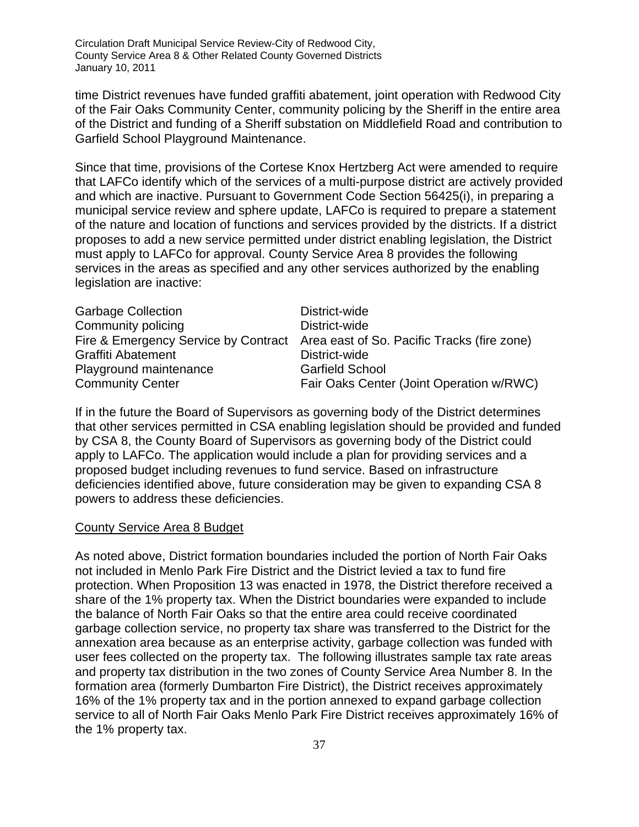time District revenues have funded graffiti abatement, joint operation with Redwood City of the Fair Oaks Community Center, community policing by the Sheriff in the entire area of the District and funding of a Sheriff substation on Middlefield Road and contribution to Garfield School Playground Maintenance.

Since that time, provisions of the Cortese Knox Hertzberg Act were amended to require that LAFCo identify which of the services of a multi-purpose district are actively provided and which are inactive. Pursuant to Government Code Section 56425(i), in preparing a municipal service review and sphere update, LAFCo is required to prepare a statement of the nature and location of functions and services provided by the districts. If a district proposes to add a new service permitted under district enabling legislation, the District must apply to LAFCo for approval. County Service Area 8 provides the following services in the areas as specified and any other services authorized by the enabling legislation are inactive:

| <b>Garbage Collection</b> | District-wide                                                                    |
|---------------------------|----------------------------------------------------------------------------------|
| Community policing        | District-wide                                                                    |
|                           | Fire & Emergency Service by Contract Area east of So. Pacific Tracks (fire zone) |
| Graffiti Abatement        | District-wide                                                                    |
| Playground maintenance    | <b>Garfield School</b>                                                           |
| <b>Community Center</b>   | Fair Oaks Center (Joint Operation w/RWC)                                         |

If in the future the Board of Supervisors as governing body of the District determines that other services permitted in CSA enabling legislation should be provided and funded by CSA 8, the County Board of Supervisors as governing body of the District could apply to LAFCo. The application would include a plan for providing services and a proposed budget including revenues to fund service. Based on infrastructure deficiencies identified above, future consideration may be given to expanding CSA 8 powers to address these deficiencies.

#### County Service Area 8 Budget

As noted above, District formation boundaries included the portion of North Fair Oaks not included in Menlo Park Fire District and the District levied a tax to fund fire protection. When Proposition 13 was enacted in 1978, the District therefore received a share of the 1% property tax. When the District boundaries were expanded to include the balance of North Fair Oaks so that the entire area could receive coordinated garbage collection service, no property tax share was transferred to the District for the annexation area because as an enterprise activity, garbage collection was funded with user fees collected on the property tax. The following illustrates sample tax rate areas and property tax distribution in the two zones of County Service Area Number 8. In the formation area (formerly Dumbarton Fire District), the District receives approximately 16% of the 1% property tax and in the portion annexed to expand garbage collection service to all of North Fair Oaks Menlo Park Fire District receives approximately 16% of the 1% property tax.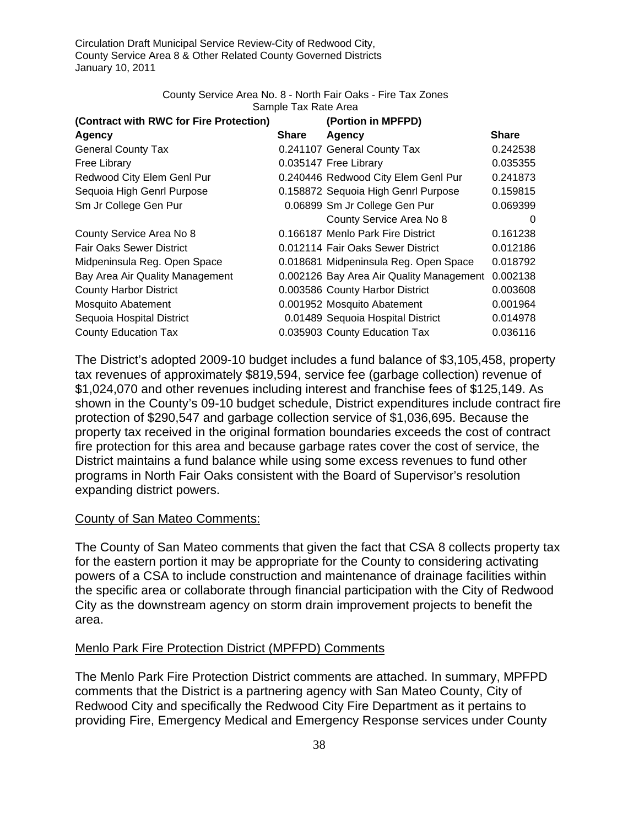#### County Service Area No. 8 - North Fair Oaks - Fire Tax Zones Sample Tax Rate Area

| (Contract with RWC for Fire Protection) |       | (Portion in MPFPD)                       |              |
|-----------------------------------------|-------|------------------------------------------|--------------|
| Agency                                  | Share | Agency                                   | <b>Share</b> |
| <b>General County Tax</b>               |       | 0.241107 General County Tax              | 0.242538     |
| Free Library                            |       | 0.035147 Free Library                    | 0.035355     |
| Redwood City Elem Genl Pur              |       | 0.240446 Redwood City Elem Genl Pur      | 0.241873     |
| Sequoia High Genrl Purpose              |       | 0.158872 Sequoia High Genrl Purpose      | 0.159815     |
| Sm Jr College Gen Pur                   |       | 0.06899 Sm Jr College Gen Pur            | 0.069399     |
|                                         |       | County Service Area No 8                 | $\Omega$     |
| County Service Area No 8                |       | 0.166187 Menlo Park Fire District        | 0.161238     |
| <b>Fair Oaks Sewer District</b>         |       | 0.012114 Fair Oaks Sewer District        | 0.012186     |
| Midpeninsula Reg. Open Space            |       | 0.018681 Midpeninsula Reg. Open Space    | 0.018792     |
| Bay Area Air Quality Management         |       | 0.002126 Bay Area Air Quality Management | 0.002138     |
| <b>County Harbor District</b>           |       | 0.003586 County Harbor District          | 0.003608     |
| Mosquito Abatement                      |       | 0.001952 Mosquito Abatement              | 0.001964     |
| Sequoia Hospital District               |       | 0.01489 Sequoia Hospital District        | 0.014978     |
| <b>County Education Tax</b>             |       | 0.035903 County Education Tax            | 0.036116     |

The District's adopted 2009-10 budget includes a fund balance of \$3,105,458, property tax revenues of approximately \$819,594, service fee (garbage collection) revenue of \$1,024,070 and other revenues including interest and franchise fees of \$125,149. As shown in the County's 09-10 budget schedule, District expenditures include contract fire protection of \$290,547 and garbage collection service of \$1,036,695. Because the property tax received in the original formation boundaries exceeds the cost of contract fire protection for this area and because garbage rates cover the cost of service, the District maintains a fund balance while using some excess revenues to fund other programs in North Fair Oaks consistent with the Board of Supervisor's resolution expanding district powers.

#### County of San Mateo Comments:

The County of San Mateo comments that given the fact that CSA 8 collects property tax for the eastern portion it may be appropriate for the County to considering activating powers of a CSA to include construction and maintenance of drainage facilities within the specific area or collaborate through financial participation with the City of Redwood City as the downstream agency on storm drain improvement projects to benefit the area.

#### Menlo Park Fire Protection District (MPFPD) Comments

The Menlo Park Fire Protection District comments are attached. In summary, MPFPD comments that the District is a partnering agency with San Mateo County, City of Redwood City and specifically the Redwood City Fire Department as it pertains to providing Fire, Emergency Medical and Emergency Response services under County